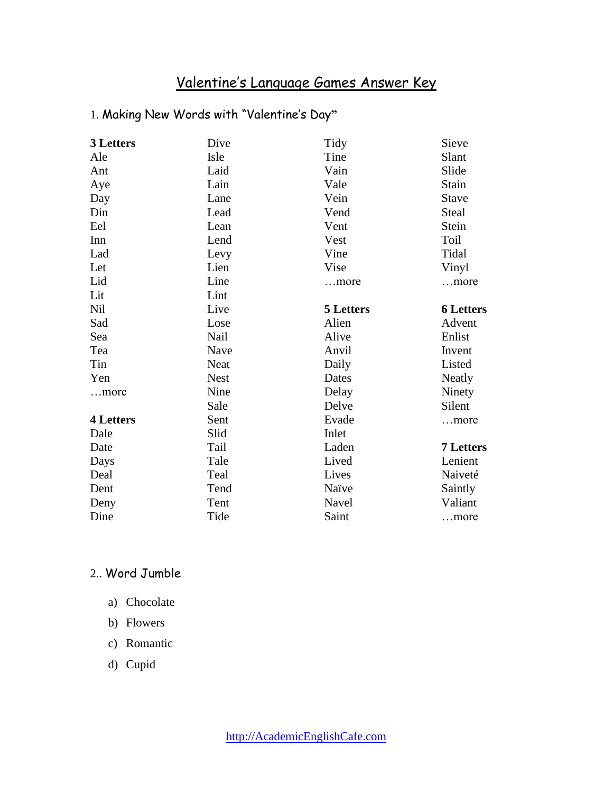# Valentine's Language Games Answer Key

## 1. Making New Words with "Valentine's Day**"**

| 3 Letters        | Dive        | Tidy             | Sieve            |
|------------------|-------------|------------------|------------------|
| Ale              | Isle        | Tine             | Slant            |
| Ant              | Laid        | Vain             | Slide            |
| Aye              | Lain        | Vale             | Stain            |
| Day              | Lane        | Vein             | <b>Stave</b>     |
| Din              | Lead        | Vend             | Steal            |
| Eel              | Lean        | Vent             | Stein            |
| Inn              | Lend        | Vest             | Toil             |
| Lad              | Levy        | Vine             | Tidal            |
| Let              | Lien        | Vise             | Vinyl            |
| Lid              | Line        | more             | more             |
| Lit              | Lint        |                  |                  |
| <b>Nil</b>       | Live        | <b>5 Letters</b> | <b>6 Letters</b> |
| Sad              | Lose        | Alien            | Advent           |
| Sea              | Nail        | Alive            | Enlist           |
| Tea              | Nave        | Anvil            | Invent           |
| Tin              | Neat        | Daily            | Listed           |
| Yen              | <b>Nest</b> | Dates            | Neatly           |
| more             | Nine        | Delay            | Ninety           |
|                  | Sale        | Delve            | Silent           |
| <b>4 Letters</b> | Sent        | Evade            | more             |
| Dale             | Slid        | Inlet            |                  |
| Date             | Tail        | Laden            | <b>7 Letters</b> |
| Days             | Tale        | Lived            | Lenient          |
| Deal             | Teal        | Lives            | Naiveté          |
| Dent             | Tend        | Naïve            | Saintly          |
| Deny             | Tent        | Navel            | Valiant          |
| Dine             | Tide        | Saint            | more             |

### 2.. Word Jumble

- a) Chocolate
- b) Flowers
- c) Romantic
- d) Cupid